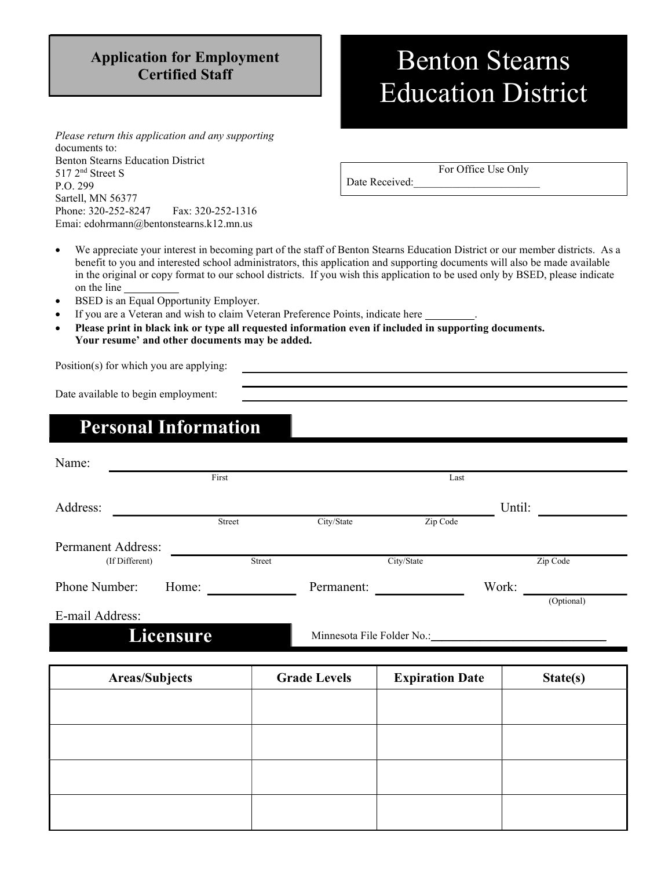# Application for Employment

## ation for Employment Benton Stearns Education District

Please return this application and any supporting documents to: Benton Stearns Education District 517 2nd Street S P.O. 299 Sartell, MN 56377 Phone: 320-252-8247 Fax: 320-252-1316 Emai: edohrmann@bentonstearns.k12.mn.us

For Office Use Only

Date Received:

 We appreciate your interest in becoming part of the staff of Benton Stearns Education District or our member districts. As a benefit to you and interested school administrators, this application and supporting documents will also be made available in the original or copy format to our school districts. If you wish this application to be used only by BSED, please indicate on the line

- BSED is an Equal Opportunity Employer.
- If you are a Veteran and wish to claim Veteran Preference Points, indicate here
- Please print in black ink or type all requested information even if included in supporting documents. Your resume' and other documents may be added.

Position(s) for which you are applying:

Date available to begin employment:

## Personal Information

| Name:                     |        |                            |            |        |            |  |
|---------------------------|--------|----------------------------|------------|--------|------------|--|
|                           | First  |                            | Last       |        |            |  |
| Address:                  |        |                            |            | Until: |            |  |
|                           | Street | City/State                 | Zip Code   |        |            |  |
| <b>Permanent Address:</b> |        |                            |            |        |            |  |
| (If Different)            | Street |                            | City/State |        | Zip Code   |  |
| Phone Number:             | Home:  | Permanent:                 |            | Work:  |            |  |
| E-mail Address:           |        |                            |            |        | (Optional) |  |
| <b>Licensure</b>          |        | Minnesota File Folder No.: |            |        |            |  |

Areas/Subjects | Grade Levels | Expiration Date | State(s)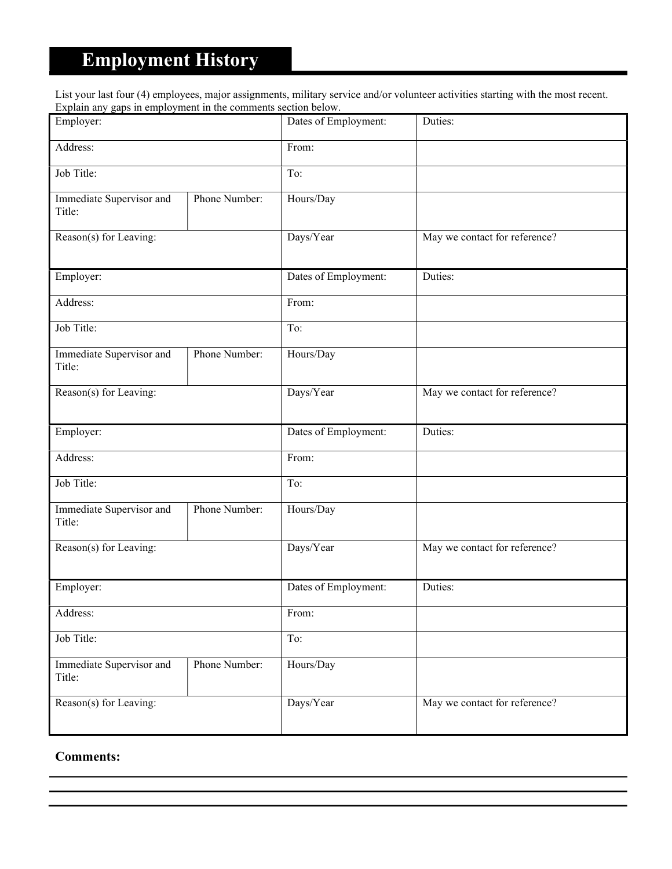## Employment History

List your last four (4) employees, major assignments, military service and/or volunteer activities starting with the most recent. Explain any gaps in employment in the comments section below.

| Employer:                          |               | Dates of Employment: | Duties:                       |
|------------------------------------|---------------|----------------------|-------------------------------|
| Address:                           |               | From:                |                               |
| Job Title:                         |               | To:                  |                               |
| Immediate Supervisor and<br>Title: | Phone Number: | Hours/Day            |                               |
| Reason(s) for Leaving:             |               | Days/Year            | May we contact for reference? |
| Employer:                          |               | Dates of Employment: | Duties:                       |
| Address:                           |               | From:                |                               |
| Job Title:                         |               | To:                  |                               |
| Immediate Supervisor and<br>Title: | Phone Number: | Hours/Day            |                               |
| Reason(s) for Leaving:             |               | Days/Year            | May we contact for reference? |
| Employer:                          |               | Dates of Employment: | Duties:                       |
| Address:                           |               | From:                |                               |
| Job Title:                         |               | To:                  |                               |
| Immediate Supervisor and<br>Title: | Phone Number: | Hours/Day            |                               |
| Reason(s) for Leaving:             |               | Days/Year            | May we contact for reference? |
| Employer:                          |               | Dates of Employment: | Duties:                       |
| Address:                           |               | From:                |                               |
| Job Title:                         |               | To:                  |                               |
| Immediate Supervisor and<br>Title: | Phone Number: | Hours/Day            |                               |
| Reason(s) for Leaving:             |               | Days/Year            | May we contact for reference? |

Comments: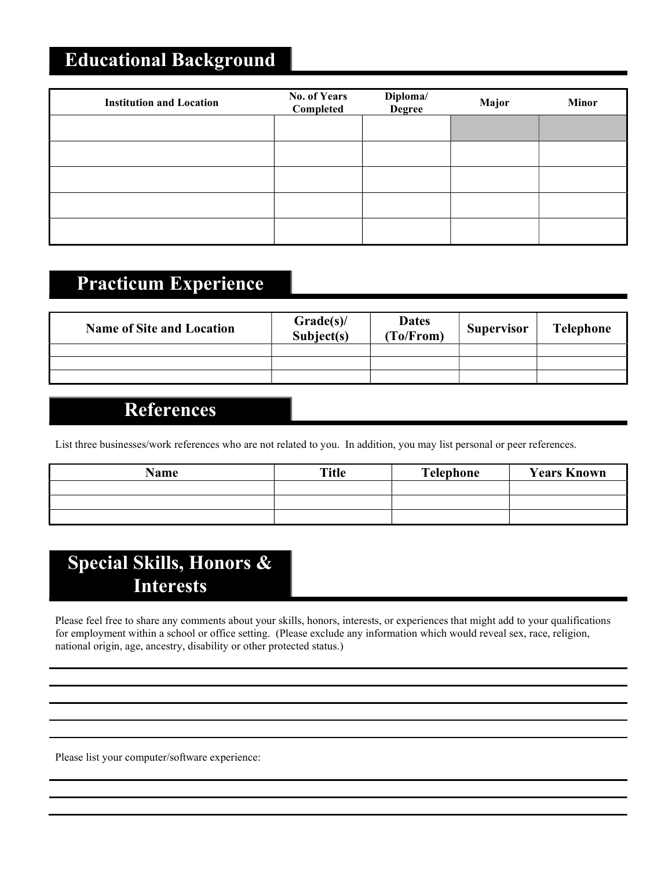## Educational Background

| <b>Institution and Location</b> | <b>No. of Years</b><br>Completed | Diploma/<br>Degree | Major | <b>Minor</b> |
|---------------------------------|----------------------------------|--------------------|-------|--------------|
|                                 |                                  |                    |       |              |
|                                 |                                  |                    |       |              |
|                                 |                                  |                    |       |              |
|                                 |                                  |                    |       |              |
|                                 |                                  |                    |       |              |

#### Practicum Experience

| <b>Name of Site and Location</b> | Grade(s)<br>Subject(s) | <b>Dates</b><br>(To/From) | <b>Supervisor</b> | <b>Telephone</b> |
|----------------------------------|------------------------|---------------------------|-------------------|------------------|
|                                  |                        |                           |                   |                  |
|                                  |                        |                           |                   |                  |
|                                  |                        |                           |                   |                  |

#### References

List three businesses/work references who are not related to you. In addition, you may list personal or peer references.

| Name | <b>Title</b> | Telephone | <b>Years Known</b> |
|------|--------------|-----------|--------------------|
|      |              |           |                    |
|      |              |           |                    |
|      |              |           |                    |

## Special Skills, Honors & Interests

Please feel free to share any comments about your skills, honors, interests, or experiences that might add to your qualifications for employment within a school or office setting. (Please exclude any information which would reveal sex, race, religion, national origin, age, ancestry, disability or other protected status.)

Please list your computer/software experience: